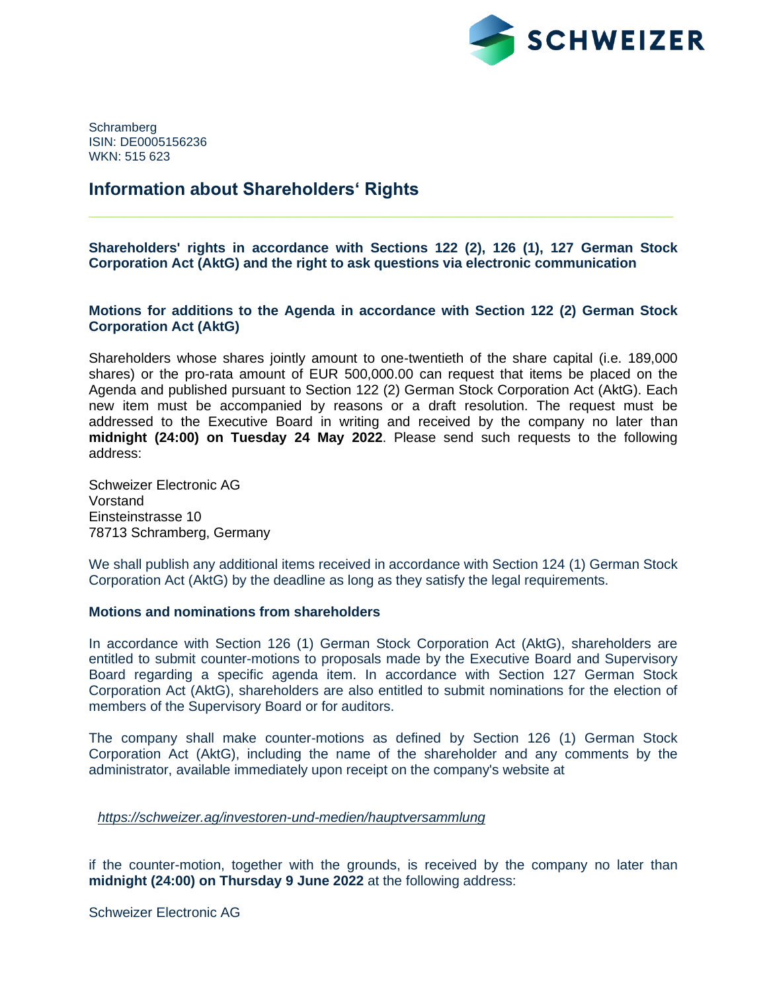

**Schramberg** ISIN: DE0005156236 WKN: 515 623

# **Information about Shareholders' Rights**

**Shareholders' rights in accordance with Sections 122 (2), 126 (1), 127 German Stock Corporation Act (AktG) and the right to ask questions via electronic communication**

**\_\_\_\_\_\_\_\_\_\_\_\_\_\_\_\_\_\_\_\_\_\_\_\_\_\_\_\_\_\_\_\_\_\_\_\_\_\_\_\_\_\_\_\_\_\_\_\_\_\_\_\_\_\_\_\_\_\_\_\_\_\_\_\_\_\_\_\_\_\_**

**Motions for additions to the Agenda in accordance with Section 122 (2) German Stock Corporation Act (AktG)**

Shareholders whose shares jointly amount to one-twentieth of the share capital (i.e. 189,000 shares) or the pro-rata amount of EUR 500,000.00 can request that items be placed on the Agenda and published pursuant to Section 122 (2) German Stock Corporation Act (AktG). Each new item must be accompanied by reasons or a draft resolution. The request must be addressed to the Executive Board in writing and received by the company no later than **midnight (24:00) on Tuesday 24 May 2022**. Please send such requests to the following address:

Schweizer Electronic AG Vorstand Einsteinstrasse 10 78713 Schramberg, Germany

We shall publish any additional items received in accordance with Section 124 (1) German Stock Corporation Act (AktG) by the deadline as long as they satisfy the legal requirements.

# **Motions and nominations from shareholders**

In accordance with Section 126 (1) German Stock Corporation Act (AktG), shareholders are entitled to submit counter-motions to proposals made by the Executive Board and Supervisory Board regarding a specific agenda item. In accordance with Section 127 German Stock Corporation Act (AktG), shareholders are also entitled to submit nominations for the election of members of the Supervisory Board or for auditors.

The company shall make counter-motions as defined by Section 126 (1) German Stock Corporation Act (AktG), including the name of the shareholder and any comments by the administrator, available immediately upon receipt on the company's website at

*<https://schweizer.ag/investoren-und-medien/hauptversammlung>*

if the counter-motion, together with the grounds, is received by the company no later than **midnight (24:00) on Thursday 9 June 2022** at the following address:

Schweizer Electronic AG